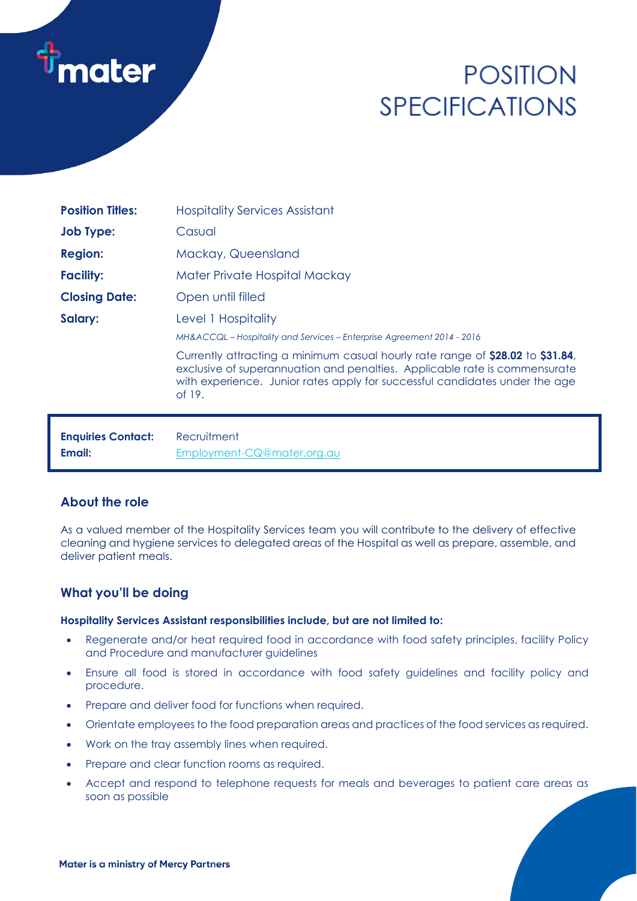

# **POSITION SPECIFICATIONS**

| <b>Position Titles:</b>   | <b>Hospitality Services Assistant</b>                                                                                                                                                                                                                 |
|---------------------------|-------------------------------------------------------------------------------------------------------------------------------------------------------------------------------------------------------------------------------------------------------|
| <b>Job Type:</b>          | Casual                                                                                                                                                                                                                                                |
| <b>Region:</b>            | Mackay, Queensland                                                                                                                                                                                                                                    |
| <b>Facility:</b>          | Mater Private Hospital Mackay                                                                                                                                                                                                                         |
| <b>Closing Date:</b>      | Open until filled                                                                                                                                                                                                                                     |
| Salary:                   | Level 1 Hospitality                                                                                                                                                                                                                                   |
|                           | MH&ACCQL – Hospitality and Services – Enterprise Agreement 2014 - 2016                                                                                                                                                                                |
|                           | Currently attracting a minimum casual hourly rate range of \$28.02 to \$31.84,<br>exclusive of superannuation and penalties. Applicable rate is commensurate<br>with experience. Junior rates apply for successful candidates under the age<br>of 19. |
| <b>Enquiries Contact:</b> | Recruitment                                                                                                                                                                                                                                           |

## **About the role**

As a valued member of the Hospitality Services team you will contribute to the delivery of effective cleaning and hygiene services to delegated areas of the Hospital as well as prepare, assemble, and deliver patient meals.

## **What you'll be doing**

#### **Hospitality Services Assistant responsibilities include, but are not limited to:**

- Regenerate and/or heat required food in accordance with food safety principles, facility Policy and Procedure and manufacturer guidelines
- Ensure all food is stored in accordance with food safety guidelines and facility policy and procedure.
- Prepare and deliver food for functions when required.
- Orientate employees to the food preparation areas and practices of the food services as required.
- Work on the tray assembly lines when required.

**Email:** [Employment-CQ@mater.org.au](mailto:Employment-CQ@mater.org.au)

- Prepare and clear function rooms as required.
- Accept and respond to telephone requests for meals and beverages to patient care areas as soon as possible